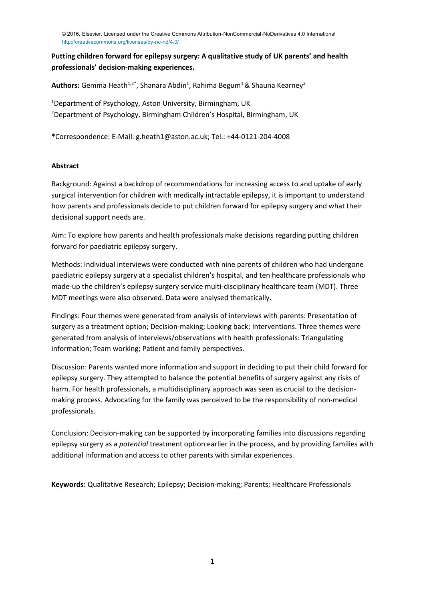© 2016, Elsevier. Licensed under the Creative Commons Attribution-NonCommercial-NoDerivatives 4.0 International http://creativecommons.org/licenses/by-nc-nd/4.0/

**Putting children forward for epilepsy surgery: A qualitative study of UK parents' and health professionals' decision-making experiences.** 

**Authors:** Gemma Heath<sup>1,2\*</sup>, Shanara Abdin<sup>1</sup>, Rahima Begum<sup>1</sup> & Shauna Kearney<sup>2</sup>

<sup>1</sup>Department of Psychology, Aston University, Birmingham, UK <sup>2</sup>Department of Psychology, Birmingham Children's Hospital, Birmingham, UK

**\***Correspondence: E-Mail: g.heath1@aston.ac.uk; Tel.: +44-0121-204-4008

#### **Abstract**

Background: Against a backdrop of recommendations for increasing access to and uptake of early surgical intervention for children with medically intractable epilepsy, it is important to understand how parents and professionals decide to put children forward for epilepsy surgery and what their decisional support needs are.

Aim: To explore how parents and health professionals make decisions regarding putting children forward for paediatric epilepsy surgery.

Methods: Individual interviews were conducted with nine parents of children who had undergone paediatric epilepsy surgery at a specialist children's hospital, and ten healthcare professionals who made-up the children's epilepsy surgery service multi-disciplinary healthcare team (MDT). Three MDT meetings were also observed. Data were analysed thematically.

Findings: Four themes were generated from analysis of interviews with parents: Presentation of surgery as a treatment option; Decision-making; Looking back; Interventions. Three themes were generated from analysis of interviews/observations with health professionals: Triangulating information; Team working; Patient and family perspectives.

Discussion: Parents wanted more information and support in deciding to put their child forward for epilepsy surgery. They attempted to balance the potential benefits of surgery against any risks of harm. For health professionals, a multidisciplinary approach was seen as crucial to the decisionmaking process. Advocating for the family was perceived to be the responsibility of non-medical professionals.

Conclusion: Decision-making can be supported by incorporating families into discussions regarding epilepsy surgery as a *potential* treatment option earlier in the process, and by providing families with additional information and access to other parents with similar experiences.

**Keywords:** Qualitative Research; Epilepsy; Decision-making; Parents; Healthcare Professionals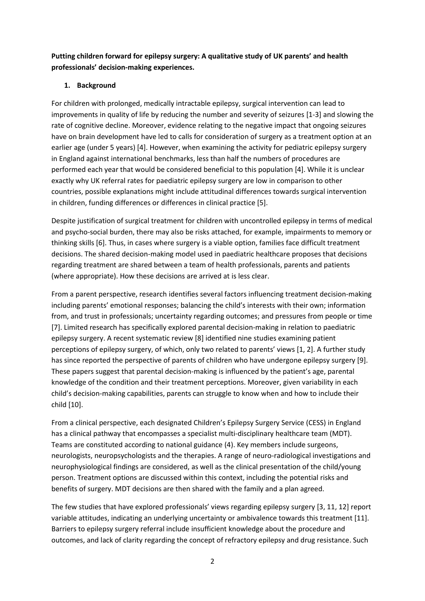**Putting children forward for epilepsy surgery: A qualitative study of UK parents' and health professionals' decision-making experiences.**

## **1. Background**

For children with prolonged, medically intractable epilepsy, surgical intervention can lead to improvements in quality of life by reducing the number and severity of seizures [1-3] and slowing the rate of cognitive decline. Moreover, evidence relating to the negative impact that ongoing seizures have on brain development have led to calls for consideration of surgery as a treatment option at an earlier age (under 5 years) [4]. However, when examining the activity for pediatric epilepsy surgery in England against international benchmarks, less than half the numbers of procedures are performed each year that would be considered beneficial to this population [4]. While it is unclear exactly why UK referral rates for paediatric epilepsy surgery are low in comparison to other countries, possible explanations might include attitudinal differences towards surgical intervention in children, funding differences or differences in clinical practice [5].

Despite justification of surgical treatment for children with uncontrolled epilepsy in terms of medical and psycho-social burden, there may also be risks attached, for example, impairments to memory or thinking skills [6]. Thus, in cases where surgery is a viable option, families face difficult treatment decisions. The shared decision-making model used in paediatric healthcare proposes that decisions regarding treatment are shared between a team of health professionals, parents and patients (where appropriate). How these decisions are arrived at is less clear.

From a parent perspective, research identifies several factors influencing treatment decision-making including parents' emotional responses; balancing the child's interests with their own; information from, and trust in professionals; uncertainty regarding outcomes; and pressures from people or time [7]. Limited research has specifically explored parental decision-making in relation to paediatric epilepsy surgery. A recent systematic review [8] identified nine studies examining patient perceptions of epilepsy surgery, of which, only two related to parents' views [1, 2]. A further study has since reported the perspective of parents of children who have undergone epilepsy surgery [9]. These papers suggest that parental decision-making is influenced by the patient's age, parental knowledge of the condition and their treatment perceptions. Moreover, given variability in each child's decision-making capabilities, parents can struggle to know when and how to include their child [10].

From a clinical perspective, each designated Children's Epilepsy Surgery Service (CESS) in England has a clinical pathway that encompasses a specialist multi-disciplinary healthcare team (MDT). Teams are constituted according to national guidance (4). Key members include surgeons, neurologists, neuropsychologists and the therapies. A range of neuro-radiological investigations and neurophysiological findings are considered, as well as the clinical presentation of the child/young person. Treatment options are discussed within this context, including the potential risks and benefits of surgery. MDT decisions are then shared with the family and a plan agreed.

The few studies that have explored professionals' views regarding epilepsy surgery [3, 11, 12] report variable attitudes, indicating an underlying uncertainty or ambivalence towards this treatment [11]. Barriers to epilepsy surgery referral include insufficient knowledge about the procedure and outcomes, and lack of clarity regarding the concept of refractory epilepsy and drug resistance. Such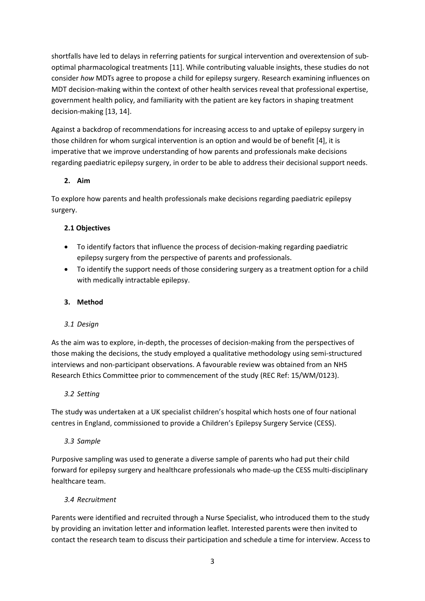shortfalls have led to delays in referring patients for surgical intervention and overextension of suboptimal pharmacological treatments [11]. While contributing valuable insights, these studies do not consider *how* MDTs agree to propose a child for epilepsy surgery. Research examining influences on MDT decision-making within the context of other health services reveal that professional expertise, government health policy, and familiarity with the patient are key factors in shaping treatment decision-making [13, 14].

Against a backdrop of recommendations for increasing access to and uptake of epilepsy surgery in those children for whom surgical intervention is an option and would be of benefit [4], it is imperative that we improve understanding of how parents and professionals make decisions regarding paediatric epilepsy surgery, in order to be able to address their decisional support needs.

## **2. Aim**

To explore how parents and health professionals make decisions regarding paediatric epilepsy surgery.

## **2.1 Objectives**

- To identify factors that influence the process of decision-making regarding paediatric epilepsy surgery from the perspective of parents and professionals.
- To identify the support needs of those considering surgery as a treatment option for a child with medically intractable epilepsy.

### **3. Method**

### *3.1 Design*

As the aim was to explore, in-depth, the processes of decision-making from the perspectives of those making the decisions, the study employed a qualitative methodology using semi-structured interviews and non-participant observations. A favourable review was obtained from an NHS Research Ethics Committee prior to commencement of the study (REC Ref: 15/WM/0123).

### *3.2 Setting*

The study was undertaken at a UK specialist children's hospital which hosts one of four national centres in England, commissioned to provide a Children's Epilepsy Surgery Service (CESS).

### *3.3 Sample*

Purposive sampling was used to generate a diverse sample of parents who had put their child forward for epilepsy surgery and healthcare professionals who made-up the CESS multi-disciplinary healthcare team.

# *3.4 Recruitment*

Parents were identified and recruited through a Nurse Specialist, who introduced them to the study by providing an invitation letter and information leaflet. Interested parents were then invited to contact the research team to discuss their participation and schedule a time for interview. Access to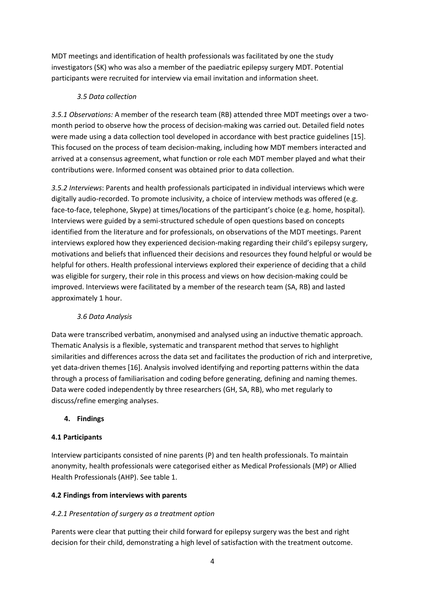MDT meetings and identification of health professionals was facilitated by one the study investigators (SK) who was also a member of the paediatric epilepsy surgery MDT. Potential participants were recruited for interview via email invitation and information sheet.

## *3.5 Data collection*

*3.5.1 Observations:* A member of the research team (RB) attended three MDT meetings over a twomonth period to observe how the process of decision-making was carried out. Detailed field notes were made using a data collection tool developed in accordance with best practice guidelines [15]. This focused on the process of team decision-making, including how MDT members interacted and arrived at a consensus agreement, what function or role each MDT member played and what their contributions were. Informed consent was obtained prior to data collection.

*3.5.2 Interviews*: Parents and health professionals participated in individual interviews which were digitally audio-recorded. To promote inclusivity, a choice of interview methods was offered (e.g. face-to-face, telephone, Skype) at times/locations of the participant's choice (e.g. home, hospital). Interviews were guided by a semi-structured schedule of open questions based on concepts identified from the literature and for professionals, on observations of the MDT meetings. Parent interviews explored how they experienced decision-making regarding their child's epilepsy surgery, motivations and beliefs that influenced their decisions and resources they found helpful or would be helpful for others. Health professional interviews explored their experience of deciding that a child was eligible for surgery, their role in this process and views on how decision-making could be improved. Interviews were facilitated by a member of the research team (SA, RB) and lasted approximately 1 hour.

### *3.6 Data Analysis*

Data were transcribed verbatim, anonymised and analysed using an inductive thematic approach. Thematic Analysis is a flexible, systematic and transparent method that serves to highlight similarities and differences across the data set and facilitates the production of rich and interpretive, yet data-driven themes [16]. Analysis involved identifying and reporting patterns within the data through a process of familiarisation and coding before generating, defining and naming themes. Data were coded independently by three researchers (GH, SA, RB), who met regularly to discuss/refine emerging analyses.

### **4. Findings**

### **4.1 Participants**

Interview participants consisted of nine parents (P) and ten health professionals. To maintain anonymity, health professionals were categorised either as Medical Professionals (MP) or Allied Health Professionals (AHP). See table 1.

### **4.2 Findings from interviews with parents**

### *4.2.1 Presentation of surgery as a treatment option*

Parents were clear that putting their child forward for epilepsy surgery was the best and right decision for their child, demonstrating a high level of satisfaction with the treatment outcome.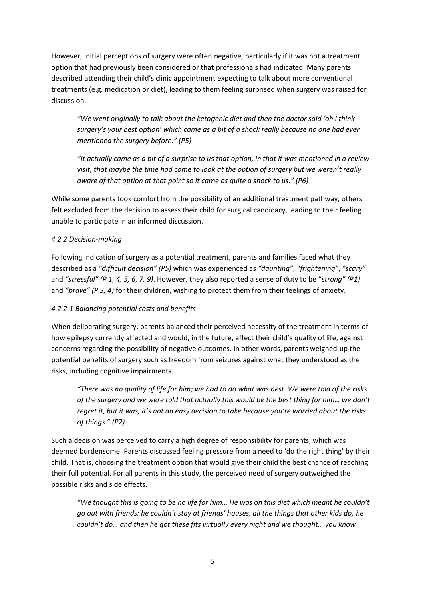However, initial perceptions of surgery were often negative, particularly if it was not a treatment option that had previously been considered or that professionals had indicated. Many parents described attending their child's clinic appointment expecting to talk about more conventional treatments (e.g. medication or diet), leading to them feeling surprised when surgery was raised for discussion.

*"We went originally to talk about the ketogenic diet and then the doctor said 'oh I think surgery's your best option' which came as a bit of a shock really because no one had ever mentioned the surgery before." (P5)*

*"It actually came as a bit of a surprise to us that option, in that it was mentioned in a review visit, that maybe the time had come to look at the option of surgery but we weren't really aware of that option at that point so it came as quite a shock to us." (P6)* 

While some parents took comfort from the possibility of an additional treatment pathway, others felt excluded from the decision to assess their child for surgical candidacy, leading to their feeling unable to participate in an informed discussion.

## *4.2.2 Decision-making*

Following indication of surgery as a potential treatment, parents and families faced what they described as a *"difficult decision" (P5)* which was experienced as *"daunting"*, *"frightening"*, *"scary"* and *"stressful" (P 1, 4, 5, 6, 7, 9)*. However, they also reported a sense of duty to be "*strong" (P1)* and *"brave" (P 3, 4)* for their children, wishing to protect them from their feelings of anxiety.

# *4.2.2.1 Balancing potential costs and benefits*

When deliberating surgery, parents balanced their perceived necessity of the treatment in terms of how epilepsy currently affected and would, in the future, affect their child's quality of life, against concerns regarding the possibility of negative outcomes. In other words, parents weighed-up the potential benefits of surgery such as freedom from seizures against what they understood as the risks, including cognitive impairments.

*"There was no quality of life for him; we had to do what was best. We were told of the risks of the surgery and we were told that actually this would be the best thing for him… we don't regret it, but it was, it's not an easy decision to take because you're worried about the risks of things." (P2)*

Such a decision was perceived to carry a high degree of responsibility for parents, which was deemed burdensome. Parents discussed feeling pressure from a need to 'do the right thing' by their child. That is, choosing the treatment option that would give their child the best chance of reaching their full potential. For all parents in this study, the perceived need of surgery outweighed the possible risks and side effects.

*"We thought this is going to be no life for him… He was on this diet which meant he couldn't go out with friends; he couldn't stay at friends' houses, all the things that other kids do, he couldn't do… and then he got these fits virtually every night and we thought… you know*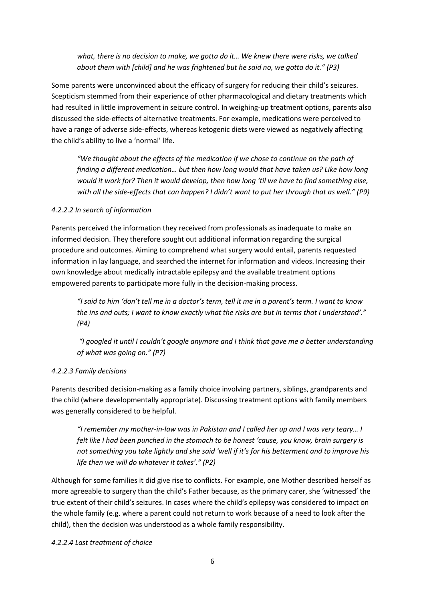*what, there is no decision to make, we gotta do it… We knew there were risks, we talked about them with [child] and he was frightened but he said no, we gotta do it." (P3)*

Some parents were unconvinced about the efficacy of surgery for reducing their child's seizures. Scepticism stemmed from their experience of other pharmacological and dietary treatments which had resulted in little improvement in seizure control. In weighing-up treatment options, parents also discussed the side-effects of alternative treatments. For example, medications were perceived to have a range of adverse side-effects, whereas ketogenic diets were viewed as negatively affecting the child's ability to live a 'normal' life.

*"We thought about the effects of the medication if we chose to continue on the path of finding a different medication… but then how long would that have taken us? Like how long would it work for? Then it would develop, then how long 'til we have to find something else, with all the side-effects that can happen? I didn't want to put her through that as well." (P9)*

### *4.2.2.2 In search of information*

Parents perceived the information they received from professionals as inadequate to make an informed decision. They therefore sought out additional information regarding the surgical procedure and outcomes. Aiming to comprehend what surgery would entail, parents requested information in lay language, and searched the internet for information and videos. Increasing their own knowledge about medically intractable epilepsy and the available treatment options empowered parents to participate more fully in the decision-making process.

*"I said to him 'don't tell me in a doctor's term, tell it me in a parent's term. I want to know the ins and outs; I want to know exactly what the risks are but in terms that I understand'." (P4)*

*"I googled it until I couldn't google anymore and I think that gave me a better understanding of what was going on." (P7)* 

#### *4.2.2.3 Family decisions*

Parents described decision-making as a family choice involving partners, siblings, grandparents and the child (where developmentally appropriate). Discussing treatment options with family members was generally considered to be helpful.

*"I remember my mother-in-law was in Pakistan and I called her up and I was very teary… I felt like I had been punched in the stomach to be honest 'cause, you know, brain surgery is not something you take lightly and she said 'well if it's for his betterment and to improve his life then we will do whatever it takes'." (P2)*

Although for some families it did give rise to conflicts. For example, one Mother described herself as more agreeable to surgery than the child's Father because, as the primary carer, she 'witnessed' the true extent of their child's seizures. In cases where the child's epilepsy was considered to impact on the whole family (e.g. where a parent could not return to work because of a need to look after the child), then the decision was understood as a whole family responsibility.

### *4.2.2.4 Last treatment of choice*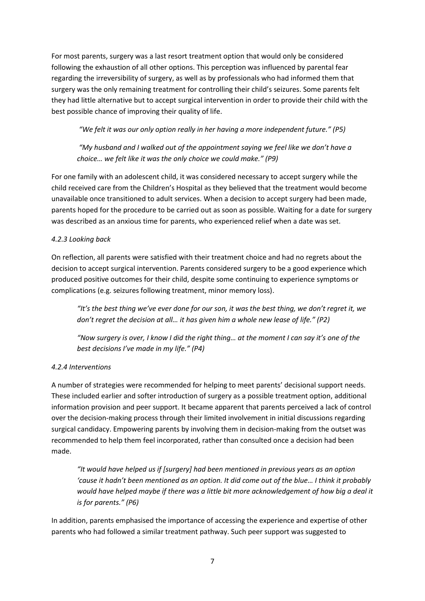For most parents, surgery was a last resort treatment option that would only be considered following the exhaustion of all other options. This perception was influenced by parental fear regarding the irreversibility of surgery, as well as by professionals who had informed them that surgery was the only remaining treatment for controlling their child's seizures. Some parents felt they had little alternative but to accept surgical intervention in order to provide their child with the best possible chance of improving their quality of life.

*"We felt it was our only option really in her having a more independent future." (P5)*

"My husband and I walked out of the appointment saying we feel like we don't have a *choice… we felt like it was the only choice we could make." (P9)*

For one family with an adolescent child, it was considered necessary to accept surgery while the child received care from the Children's Hospital as they believed that the treatment would become unavailable once transitioned to adult services. When a decision to accept surgery had been made, parents hoped for the procedure to be carried out as soon as possible. Waiting for a date for surgery was described as an anxious time for parents, who experienced relief when a date was set.

## *4.2.3 Looking back*

On reflection, all parents were satisfied with their treatment choice and had no regrets about the decision to accept surgical intervention. Parents considered surgery to be a good experience which produced positive outcomes for their child, despite some continuing to experience symptoms or complications (e.g. seizures following treatment, minor memory loss).

*"It's the best thing we've ever done for our son, it was the best thing, we don't regret it, we don't regret the decision at all… it has given him a whole new lease of life." (P2)*

*"Now surgery is over, I know I did the right thing… at the moment I can say it's one of the best decisions I've made in my life." (P4)* 

### *4.2.4 Interventions*

A number of strategies were recommended for helping to meet parents' decisional support needs. These included earlier and softer introduction of surgery as a possible treatment option, additional information provision and peer support. It became apparent that parents perceived a lack of control over the decision-making process through their limited involvement in initial discussions regarding surgical candidacy. Empowering parents by involving them in decision-making from the outset was recommended to help them feel incorporated, rather than consulted once a decision had been made.

*"It would have helped us if [surgery] had been mentioned in previous years as an option 'cause it hadn't been mentioned as an option. It did come out of the blue… I think it probably would have helped maybe if there was a little bit more acknowledgement of how big a deal it is for parents." (P6)*

In addition, parents emphasised the importance of accessing the experience and expertise of other parents who had followed a similar treatment pathway. Such peer support was suggested to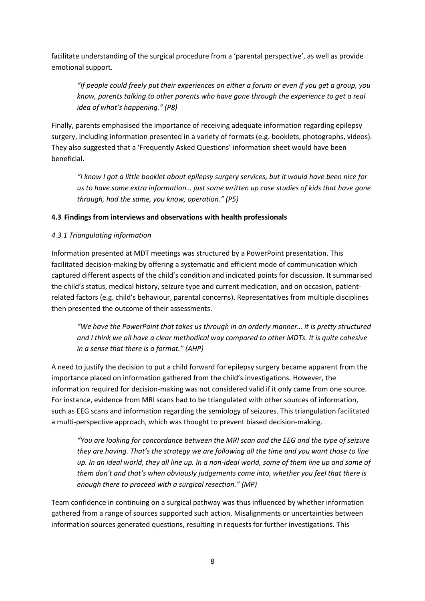facilitate understanding of the surgical procedure from a 'parental perspective', as well as provide emotional support.

*"If people could freely put their experiences on either a forum or even if you get a group, you know, parents talking to other parents who have gone through the experience to get a real idea of what's happening." (P8)*

Finally, parents emphasised the importance of receiving adequate information regarding epilepsy surgery, including information presented in a variety of formats (e.g. booklets, photographs, videos). They also suggested that a 'Frequently Asked Questions' information sheet would have been beneficial.

*"I know I got a little booklet about epilepsy surgery services, but it would have been nice for us to have some extra information… just some written up case studies of kids that have gone through, had the same, you know, operation." (P5)*

### **4.3 Findings from interviews and observations with health professionals**

## *4.3.1 Triangulating information*

Information presented at MDT meetings was structured by a PowerPoint presentation. This facilitated decision-making by offering a systematic and efficient mode of communication which captured different aspects of the child's condition and indicated points for discussion. It summarised the child's status, medical history, seizure type and current medication, and on occasion, patientrelated factors (e.g. child's behaviour, parental concerns). Representatives from multiple disciplines then presented the outcome of their assessments.

*"We have the PowerPoint that takes us through in an orderly manner… it is pretty structured and I think we all have a clear methodical way compared to other MDTs. It is quite cohesive in a sense that there is a format." (AHP)*

A need to justify the decision to put a child forward for epilepsy surgery became apparent from the importance placed on information gathered from the child's investigations. However, the information required for decision-making was not considered valid if it only came from one source. For instance, evidence from MRI scans had to be triangulated with other sources of information, such as EEG scans and information regarding the semiology of seizures. This triangulation facilitated a multi-perspective approach, which was thought to prevent biased decision-making.

*"You are looking for concordance between the MRI scan and the EEG and the type of seizure they are having. That's the strategy we are following all the time and you want those to line up. In an ideal world, they all line up. In a non-ideal world, some of them line up and some of them don't and that's when obviously judgements come into, whether you feel that there is enough there to proceed with a surgical resection." (MP)*

Team confidence in continuing on a surgical pathway was thus influenced by whether information gathered from a range of sources supported such action. Misalignments or uncertainties between information sources generated questions, resulting in requests for further investigations. This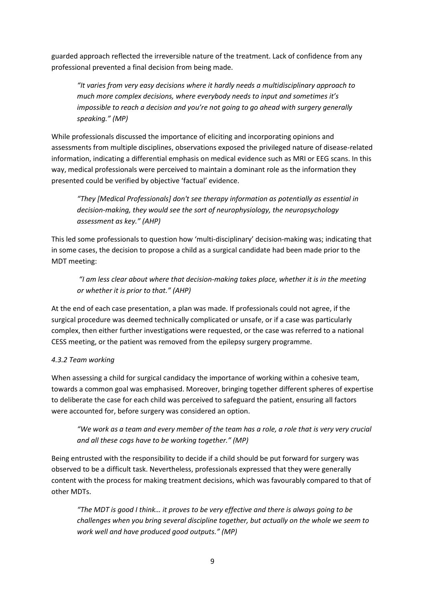guarded approach reflected the irreversible nature of the treatment. Lack of confidence from any professional prevented a final decision from being made.

*"It varies from very easy decisions where it hardly needs a multidisciplinary approach to much more complex decisions, where everybody needs to input and sometimes it's impossible to reach a decision and you're not going to go ahead with surgery generally speaking." (MP)*

While professionals discussed the importance of eliciting and incorporating opinions and assessments from multiple disciplines, observations exposed the privileged nature of disease-related information, indicating a differential emphasis on medical evidence such as MRI or EEG scans. In this way, medical professionals were perceived to maintain a dominant role as the information they presented could be verified by objective 'factual' evidence.

*"They [Medical Professionals] don't see therapy information as potentially as essential in decision-making, they would see the sort of neurophysiology, the neuropsychology assessment as key." (AHP)*

This led some professionals to question how 'multi-disciplinary' decision-making was; indicating that in some cases, the decision to propose a child as a surgical candidate had been made prior to the MDT meeting:

*"I am less clear about where that decision-making takes place, whether it is in the meeting or whether it is prior to that." (AHP)*

At the end of each case presentation, a plan was made. If professionals could not agree, if the surgical procedure was deemed technically complicated or unsafe, or if a case was particularly complex, then either further investigations were requested, or the case was referred to a national CESS meeting, or the patient was removed from the epilepsy surgery programme.

### *4.3.2 Team working*

When assessing a child for surgical candidacy the importance of working within a cohesive team, towards a common goal was emphasised. Moreover, bringing together different spheres of expertise to deliberate the case for each child was perceived to safeguard the patient, ensuring all factors were accounted for, before surgery was considered an option.

*"We work as a team and every member of the team has a role, a role that is very very crucial and all these cogs have to be working together." (MP)*

Being entrusted with the responsibility to decide if a child should be put forward for surgery was observed to be a difficult task. Nevertheless, professionals expressed that they were generally content with the process for making treatment decisions, which was favourably compared to that of other MDTs.

*"The MDT is good I think… it proves to be very effective and there is always going to be challenges when you bring several discipline together, but actually on the whole we seem to work well and have produced good outputs." (MP)*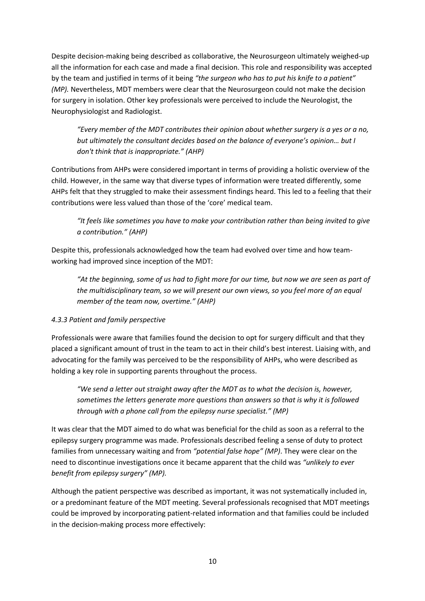Despite decision-making being described as collaborative, the Neurosurgeon ultimately weighed-up all the information for each case and made a final decision. This role and responsibility was accepted by the team and justified in terms of it being *"the surgeon who has to put his knife to a patient" (MP).* Nevertheless, MDT members were clear that the Neurosurgeon could not make the decision for surgery in isolation. Other key professionals were perceived to include the Neurologist, the Neurophysiologist and Radiologist.

*"Every member of the MDT contributes their opinion about whether surgery is a yes or a no, but ultimately the consultant decides based on the balance of everyone's opinion… but I don't think that is inappropriate." (AHP)*

Contributions from AHPs were considered important in terms of providing a holistic overview of the child. However, in the same way that diverse types of information were treated differently, some AHPs felt that they struggled to make their assessment findings heard. This led to a feeling that their contributions were less valued than those of the 'core' medical team.

*"It feels like sometimes you have to make your contribution rather than being invited to give a contribution." (AHP)*

Despite this, professionals acknowledged how the team had evolved over time and how teamworking had improved since inception of the MDT:

*"At the beginning, some of us had to fight more for our time, but now we are seen as part of the multidisciplinary team, so we will present our own views, so you feel more of an equal member of the team now, overtime." (AHP)*

### *4.3.3 Patient and family perspective*

Professionals were aware that families found the decision to opt for surgery difficult and that they placed a significant amount of trust in the team to act in their child's best interest. Liaising with, and advocating for the family was perceived to be the responsibility of AHPs, who were described as holding a key role in supporting parents throughout the process.

*"We send a letter out straight away after the MDT as to what the decision is, however, sometimes the letters generate more questions than answers so that is why it is followed through with a phone call from the epilepsy nurse specialist." (MP)*

It was clear that the MDT aimed to do what was beneficial for the child as soon as a referral to the epilepsy surgery programme was made. Professionals described feeling a sense of duty to protect families from unnecessary waiting and from *"potential false hope" (MP)*. They were clear on the need to discontinue investigations once it became apparent that the child was *"unlikely to ever benefit from epilepsy surgery" (MP).*

Although the patient perspective was described as important, it was not systematically included in, or a predominant feature of the MDT meeting. Several professionals recognised that MDT meetings could be improved by incorporating patient-related information and that families could be included in the decision-making process more effectively: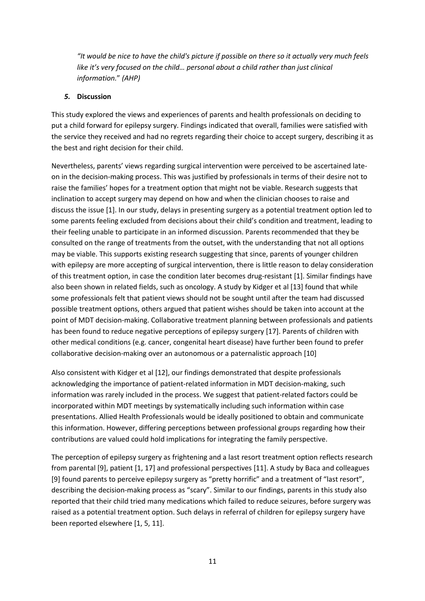*"It would be nice to have the child's picture if possible on there so it actually very much feels like it's very focused on the child… personal about a child rather than just clinical information.*" *(AHP)*

#### *5.* **Discussion**

This study explored the views and experiences of parents and health professionals on deciding to put a child forward for epilepsy surgery. Findings indicated that overall, families were satisfied with the service they received and had no regrets regarding their choice to accept surgery, describing it as the best and right decision for their child.

Nevertheless, parents' views regarding surgical intervention were perceived to be ascertained lateon in the decision-making process. This was justified by professionals in terms of their desire not to raise the families' hopes for a treatment option that might not be viable. Research suggests that inclination to accept surgery may depend on how and when the clinician chooses to raise and discuss the issue [1]. In our study, delays in presenting surgery as a potential treatment option led to some parents feeling excluded from decisions about their child's condition and treatment, leading to their feeling unable to participate in an informed discussion. Parents recommended that they be consulted on the range of treatments from the outset, with the understanding that not all options may be viable. This supports existing research suggesting that since, parents of younger children with epilepsy are more accepting of surgical intervention, there is little reason to delay consideration of this treatment option, in case the condition later becomes drug-resistant [1]. Similar findings have also been shown in related fields, such as oncology. A study by Kidger et al [13] found that while some professionals felt that patient views should not be sought until after the team had discussed possible treatment options, others argued that patient wishes should be taken into account at the point of MDT decision-making. Collaborative treatment planning between professionals and patients has been found to reduce negative perceptions of epilepsy surgery [17]. Parents of children with other medical conditions (e.g. cancer, congenital heart disease) have further been found to prefer collaborative decision-making over an autonomous or a paternalistic approach [10]

Also consistent with Kidger et al [12], our findings demonstrated that despite professionals acknowledging the importance of patient-related information in MDT decision-making, such information was rarely included in the process. We suggest that patient-related factors could be incorporated within MDT meetings by systematically including such information within case presentations. Allied Health Professionals would be ideally positioned to obtain and communicate this information. However, differing perceptions between professional groups regarding how their contributions are valued could hold implications for integrating the family perspective.

The perception of epilepsy surgery as frightening and a last resort treatment option reflects research from parental [9], patient [1, 17] and professional perspectives [11]. A study by Baca and colleagues [9] found parents to perceive epilepsy surgery as "pretty horrific" and a treatment of "last resort", describing the decision-making process as "scary". Similar to our findings, parents in this study also reported that their child tried many medications which failed to reduce seizures, before surgery was raised as a potential treatment option. Such delays in referral of children for epilepsy surgery have been reported elsewhere [1, 5, 11].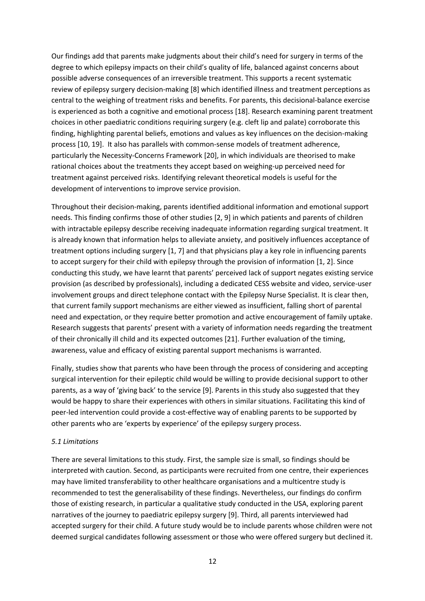Our findings add that parents make judgments about their child's need for surgery in terms of the degree to which epilepsy impacts on their child's quality of life, balanced against concerns about possible adverse consequences of an irreversible treatment. This supports a recent systematic review of epilepsy surgery decision-making [8] which identified illness and treatment perceptions as central to the weighing of treatment risks and benefits. For parents, this decisional-balance exercise is experienced as both a cognitive and emotional process [18]. Research examining parent treatment choices in other paediatric conditions requiring surgery (e.g. cleft lip and palate) corroborate this finding, highlighting parental beliefs, emotions and values as key influences on the decision-making process [10, 19]. It also has parallels with common-sense models of treatment adherence, particularly the Necessity-Concerns Framework [20], in which individuals are theorised to make rational choices about the treatments they accept based on weighing-up perceived need for treatment against perceived risks. Identifying relevant theoretical models is useful for the development of interventions to improve service provision.

Throughout their decision-making, parents identified additional information and emotional support needs. This finding confirms those of other studies [2, 9] in which patients and parents of children with intractable epilepsy describe receiving inadequate information regarding surgical treatment. It is already known that information helps to alleviate anxiety, and positively influences acceptance of treatment options including surgery [1, 7] and that physicians play a key role in influencing parents to accept surgery for their child with epilepsy through the provision of information [1, 2]. Since conducting this study, we have learnt that parents' perceived lack of support negates existing service provision (as described by professionals), including a dedicated CESS website and video, service-user involvement groups and direct telephone contact with the Epilepsy Nurse Specialist. It is clear then, that current family support mechanisms are either viewed as insufficient, falling short of parental need and expectation, or they require better promotion and active encouragement of family uptake. Research suggests that parents' present with a variety of information needs regarding the treatment of their chronically ill child and its expected outcomes [21]. Further evaluation of the timing, awareness, value and efficacy of existing parental support mechanisms is warranted.

Finally, studies show that parents who have been through the process of considering and accepting surgical intervention for their epileptic child would be willing to provide decisional support to other parents, as a way of 'giving back' to the service [9]. Parents in this study also suggested that they would be happy to share their experiences with others in similar situations. Facilitating this kind of peer-led intervention could provide a cost-effective way of enabling parents to be supported by other parents who are 'experts by experience' of the epilepsy surgery process.

#### *5.1 Limitations*

There are several limitations to this study. First, the sample size is small, so findings should be interpreted with caution. Second, as participants were recruited from one centre, their experiences may have limited transferability to other healthcare organisations and a multicentre study is recommended to test the generalisability of these findings. Nevertheless, our findings do confirm those of existing research, in particular a qualitative study conducted in the USA, exploring parent narratives of the journey to paediatric epilepsy surgery [9]. Third, all parents interviewed had accepted surgery for their child. A future study would be to include parents whose children were not deemed surgical candidates following assessment or those who were offered surgery but declined it.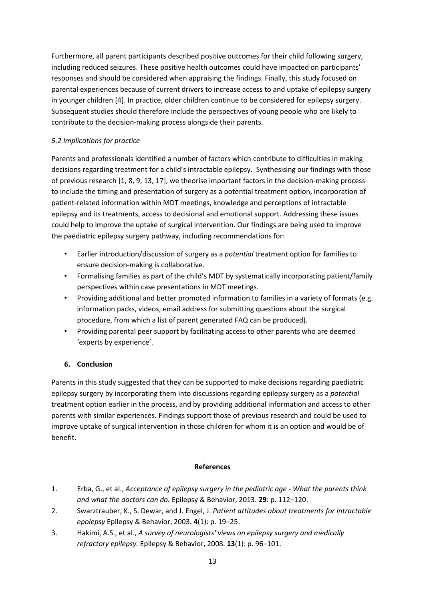Furthermore, all parent participants described positive outcomes for their child following surgery, including reduced seizures. These positive health outcomes could have impacted on participants' responses and should be considered when appraising the findings. Finally, this study focused on parental experiences because of current drivers to increase access to and uptake of epilepsy surgery in younger children [4]. In practice, older children continue to be considered for epilepsy surgery. Subsequent studies should therefore include the perspectives of young people who are likely to contribute to the decision-making process alongside their parents.

# *5.2 Implications for practice*

Parents and professionals identified a number of factors which contribute to difficulties in making decisions regarding treatment for a child's intractable epilepsy. Synthesising our findings with those of previous research [1, 8, 9, 13, 17], we theorise important factors in the decision-making process to include the timing and presentation of surgery as a potential treatment option, incorporation of patient-related information within MDT meetings, knowledge and perceptions of intractable epilepsy and its treatments, access to decisional and emotional support. Addressing these issues could help to improve the uptake of surgical intervention. Our findings are being used to improve the paediatric epilepsy surgery pathway, including recommendations for:

- Earlier introduction/discussion of surgery as a *potential* treatment option for families to ensure decision-making is collaborative.
- Formalising families as part of the child's MDT by systematically incorporating patient/family perspectives within case presentations in MDT meetings.
- Providing additional and better promoted information to families in a variety of formats (e.g. information packs, videos, email address for submitting questions about the surgical procedure, from which a list of parent generated FAQ can be produced).
- Providing parental peer support by facilitating access to other parents who are deemed 'experts by experience'.

### **6. Conclusion**

Parents in this study suggested that they can be supported to make decisions regarding paediatric epilepsy surgery by incorporating them into discussions regarding epilepsy surgery as a *potential* treatment option earlier in the process, and by providing additional information and access to other parents with similar experiences. Findings support those of previous research and could be used to improve uptake of surgical intervention in those children for whom it is an option and would be of benefit.

### **References**

- 1. Erba, G., et al., *Acceptance of epilepsy surgery in the pediatric age - What the parents think and what the doctors can do.* Epilepsy & Behavior, 2013. **29**: p. 112–120.
- 2. Swarztrauber, K., S. Dewar, and J. Engel, J. *Patient attitudes about treatments for intractable epolepsy* Epilepsy & Behavior, 2003. **4**(1): p. 19–25.
- 3. Hakimi, A.S., et al., *A survey of neurologists' views on epilepsy surgery and medically refractory epilepsy.* Epilepsy & Behavior, 2008. **13**(1): p. 96–101.